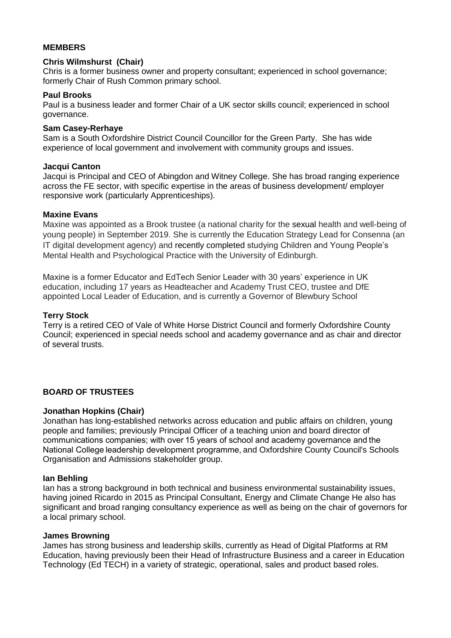## **MEMBERS**

#### **Chris Wilmshurst (Chair)**

Chris is a former business owner and property consultant; experienced in school governance; formerly Chair of Rush Common primary school.

#### **Paul Brooks**

Paul is a business leader and former Chair of a UK sector skills council; experienced in school governance.

# **Sam Casey-Rerhaye**

Sam is a South Oxfordshire District Council Councillor for the Green Party. She has wide experience of local government and involvement with community groups and issues.

### **Jacqui Canton**

Jacqui is Principal and CEO of Abingdon and Witney College. She has broad ranging experience across the FE sector, with specific expertise in the areas of business development/ employer responsive work (particularly Apprenticeships).

### **Maxine Evans**

Maxine was appointed as a Brook trustee (a national charity for the sexual health and well-being of young people) in September 2019. She is currently the Education Strategy Lead for Consenna (an IT digital development agency) and recently completed studying Children and Young People's Mental Health and Psychological Practice with the University of Edinburgh.

Maxine is a former Educator and EdTech Senior Leader with 30 years' experience in UK education, including 17 years as Headteacher and Academy Trust CEO, trustee and DfE appointed Local Leader of Education, and is currently a Governor of Blewbury School

## **Terry Stock**

Terry is a retired CEO of Vale of White Horse District Council and formerly Oxfordshire County Council; experienced in special needs school and academy governance and as chair and director of several trusts.

## **BOARD OF TRUSTEES**

## **Jonathan Hopkins (Chair)**

Jonathan has long-established networks across education and public affairs on children, young people and families; previously Principal Officer of a teaching union and board director of communications companies; with over 15 years of school and academy governance and the National College leadership development programme, and Oxfordshire County Council's Schools Organisation and Admissions stakeholder group.

#### **Ian Behling**

Ian has a strong background in both technical and business environmental sustainability issues, having joined Ricardo in 2015 as Principal Consultant, Energy and Climate Change He also has significant and broad ranging consultancy experience as well as being on the chair of governors for a local primary school.

#### **James Browning**

James has strong business and leadership skills, currently as Head of Digital Platforms at RM Education, having previously been their Head of Infrastructure Business and a career in Education Technology (Ed TECH) in a variety of strategic, operational, sales and product based roles.